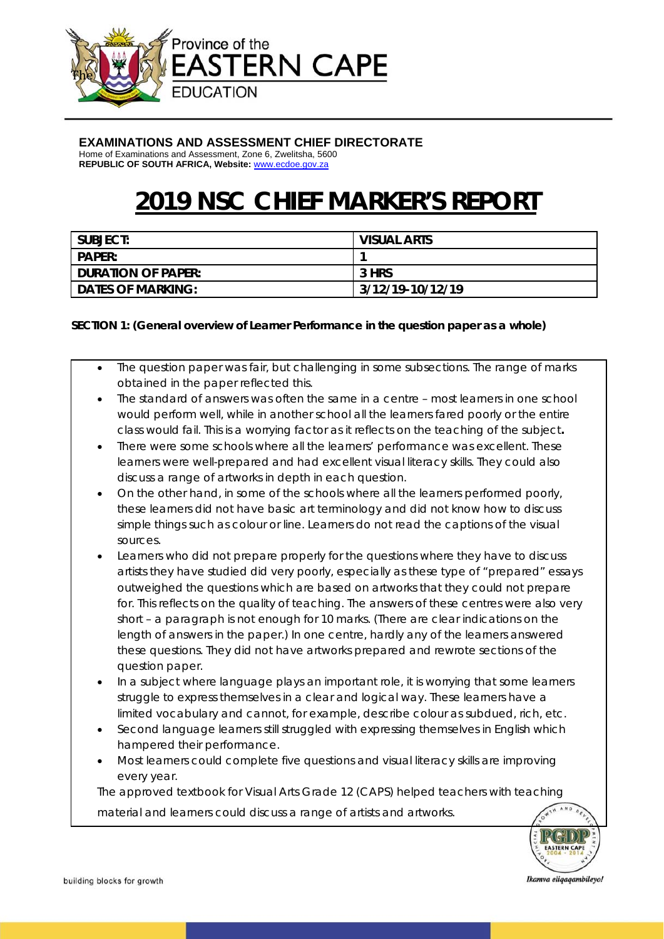

#### **EXAMINATIONS AND ASSESSMENT CHIEF DIRECTORATE**

Home of Examinations and Assessment, Zone 6, Zwelitsha, 5600 **REPUBLIC OF SOUTH AFRICA, Website:** www.ecdoe.gov.za

# **2019 NSC CHIEF MARKER'S REPORT**

| SUBJECT:                  | <b>VISUAL ARTS</b> |
|---------------------------|--------------------|
| <b>PAPER:</b>             |                    |
| <b>DURATION OF PAPER:</b> | 3 HRS              |
| <b>DATES OF MARKING:</b>  | 3/12/19-10/12/19   |

#### **SECTION 1: (General overview of Learner Performance in the question paper as a whole)**

- The question paper was fair, but challenging in some subsections. The range of marks obtained in the paper reflected this.
- The standard of answers was often the same in a centre most learners in one school would perform well, while in another school all the learners fared poorly or the entire class would fail. This is a worrying factor as it reflects on the teaching of the subject**.**
- There were some schools where all the learners' performance was excellent. These learners were well-prepared and had excellent visual literacy skills. They could also discuss a range of artworks in depth in each question.
- On the other hand, in some of the schools where all the learners performed poorly, these learners did not have basic art terminology and did not know how to discuss simple things such as colour or line. Learners do not read the captions of the visual sources.
- Learners who did not prepare properly for the questions where they have to discuss artists they have studied did very poorly, especially as these type of "prepared" essays outweighed the questions which are based on artworks that they could not prepare for. This reflects on the quality of teaching. The answers of these centres were also very short – a paragraph is not enough for 10 marks. (There are clear indications on the length of answers in the paper.) In one centre, hardly any of the learners answered these questions. They did not have artworks prepared and rewrote sections of the question paper.
- In a subject where language plays an important role, it is worrying that some learners struggle to express themselves in a clear and logical way. These learners have a limited vocabulary and cannot, for example, describe colour as subdued, rich, etc.
- Second language learners still struggled with expressing themselves in English which hampered their performance.
- Most learners could complete five questions and visual literacy skills are improving every year.

The approved textbook for Visual Arts Grade 12 (CAPS) helped teachers with teaching

material and learners could discuss a range of artists and artworks.

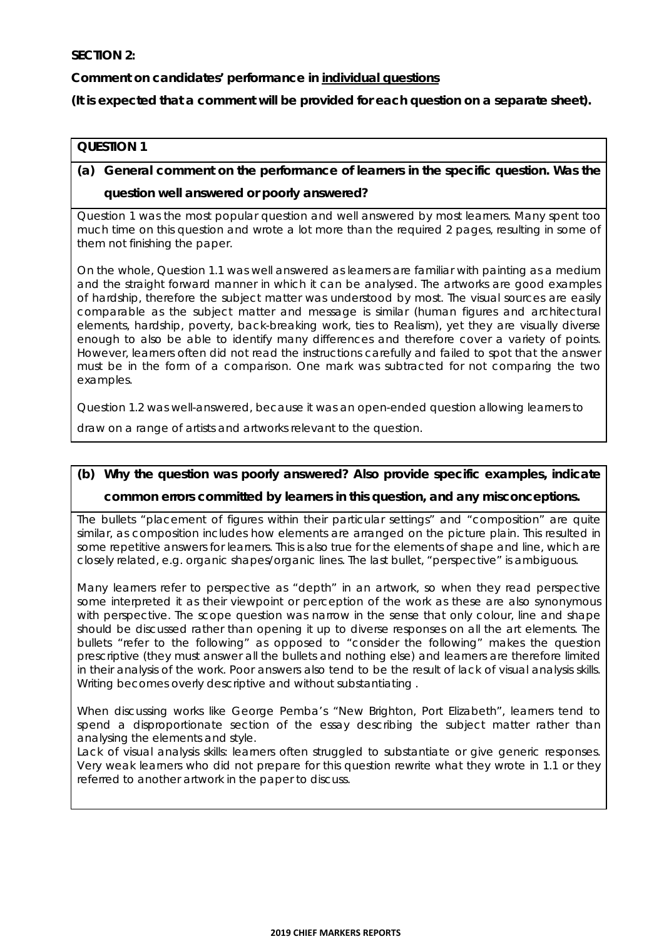#### **SECTION 2:**

**Comment on candidates' performance in individual questions** 

**(It is expected that a comment will be provided for each question on a separate sheet).** 

#### **QUESTION 1**

**(a) General comment on the performance of learners in the specific question. Was the question well answered or poorly answered?** 

Question 1 was the most popular question and well answered by most learners. Many spent too much time on this question and wrote a lot more than the required 2 pages, resulting in some of them not finishing the paper.

On the whole, Question 1.1 was well answered as learners are familiar with painting as a medium and the straight forward manner in which it can be analysed. The artworks are good examples of hardship, therefore the subject matter was understood by most. The visual sources are easily comparable as the subject matter and message is similar (human figures and architectural elements, hardship, poverty, back-breaking work, ties to Realism), yet they are visually diverse enough to also be able to identify many differences and therefore cover a variety of points. However, learners often did not read the instructions carefully and failed to spot that the answer must be in the form of a comparison. One mark was subtracted for not comparing the two examples.

Question 1.2 was well-answered, because it was an open-ended question allowing learners to

draw on a range of artists and artworks relevant to the question.

# **(b) Why the question was poorly answered? Also provide specific examples, indicate**

#### **common errors committed by learners in this question, and any misconceptions.**

The bullets "placement of figures within their particular settings" and "composition" are quite similar, as composition includes how elements are arranged on the picture plain. This resulted in some repetitive answers for learners. This is also true for the elements of shape and line, which are closely related, e.g. organic shapes/organic lines. The last bullet, "perspective" is ambiguous.

Many learners refer to perspective as "depth" in an artwork, so when they read perspective some interpreted it as their viewpoint or perception of the work as these are also synonymous with perspective. The scope question was narrow in the sense that only colour, line and shape should be discussed rather than opening it up to diverse responses on all the art elements. The bullets "refer to the following" as opposed to "consider the following" makes the question prescriptive (they must answer *all* the bullets and *nothing* else) and learners are therefore limited in their analysis of the work. Poor answers also tend to be the result of lack of visual analysis skills. Writing becomes overly descriptive and without substantiating .

When discussing works like George Pemba's "New Brighton, Port Elizabeth", learners tend to spend a disproportionate section of the essay describing the subject matter rather than analysing the elements and style.

Lack of visual analysis skills: learners often struggled to substantiate or give generic responses. Very weak learners who did not prepare for this question rewrite what they wrote in 1.1 or they referred to another artwork in the paper to discuss.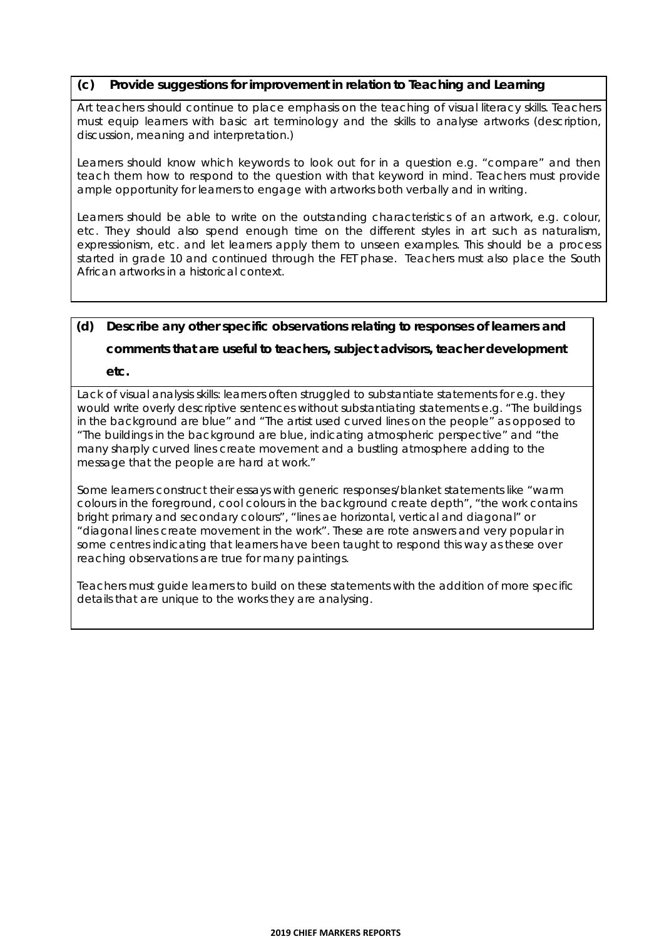#### **(c) Provide suggestions for improvement in relation to Teaching and Learning**

Art teachers should continue to place emphasis on the teaching of visual literacy skills. Teachers must equip learners with basic art terminology and the skills to analyse artworks (description, discussion, meaning and interpretation.)

Learners should know which keywords to look out for in a question e.g. "compare" and then teach them how to respond to the question with that keyword in mind. Teachers must provide ample opportunity for learners to engage with artworks both verbally and in writing.

Learners should be able to write on the outstanding characteristics of an artwork, e.g. colour, etc. They should also spend enough time on the different styles in art such as naturalism, expressionism, etc. and let learners apply them to unseen examples. This should be a process started in grade 10 and continued through the FET phase. Teachers must also place the South African artworks in a historical context.

#### **(d) Describe any other specific observations relating to responses of learners and**

**comments that are useful to teachers, subject advisors, teacher development** 

**etc.** 

Lack of visual analysis skills: learners often struggled to substantiate statements for e.g. they would write overly descriptive sentences without substantiating statements e.g. "The buildings in the background are blue" and "The artist used curved lines on the people" as opposed to "The buildings in the background are blue, indicating atmospheric perspective" and "the many sharply curved lines create movement and a bustling atmosphere adding to the message that the people are hard at work."

Some learners construct their essays with generic responses/blanket statements like "warm colours in the foreground, cool colours in the background create depth", "the work contains bright primary and secondary colours", "lines ae horizontal, vertical and diagonal" or "diagonal lines create movement in the work". These are rote answers and very popular in some centres indicating that learners have been taught to respond this way as these over reaching observations are true for many paintings.

Teachers must guide learners to build on these statements with the addition of more specific details that are unique to the works they are analysing.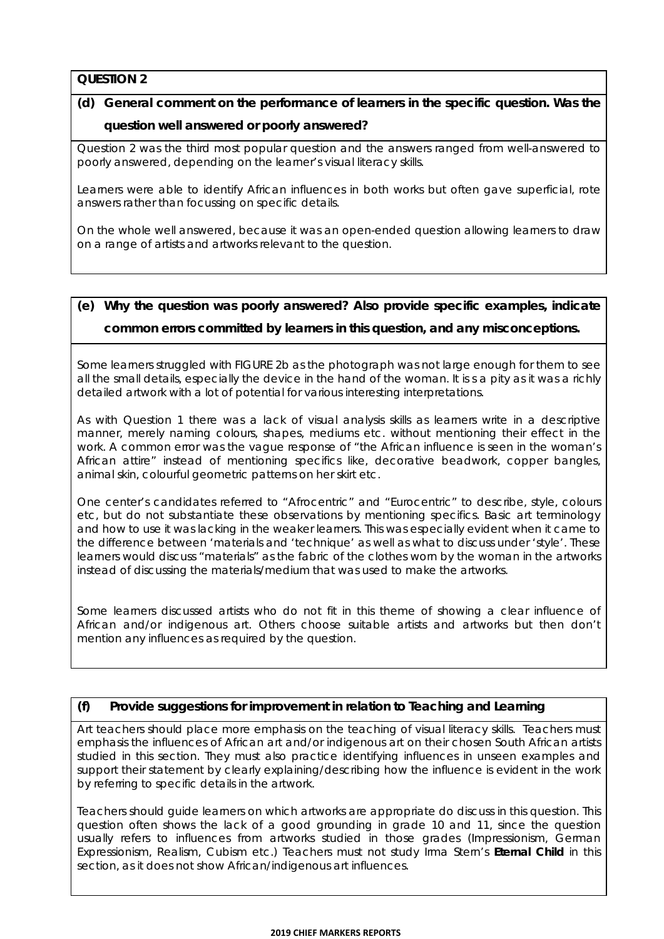## **(d) General comment on the performance of learners in the specific question. Was the question well answered or poorly answered?**

Question 2 was the third most popular question and the answers ranged from well-answered to poorly answered, depending on the learner's visual literacy skills.

Learners were able to identify African influences in both works but often gave superficial, rote answers rather than focussing on specific details.

On the whole well answered, because it was an open-ended question allowing learners to draw on a range of artists and artworks relevant to the question.

## **(e) Why the question was poorly answered? Also provide specific examples, indicate**

#### **common errors committed by learners in this question, and any misconceptions.**

Some learners struggled with FIGURE 2b as the photograph was not large enough for them to see all the small details, especially the device in the hand of the woman. It is s a pity as it was a richly detailed artwork with a lot of potential for various interesting interpretations.

As with Question 1 there was a lack of visual analysis skills as learners write in a descriptive manner, merely naming colours, shapes, mediums etc. without mentioning their effect in the work. A common error was the vague response of "the African influence is seen in the woman's African attire" instead of mentioning specifics like, decorative beadwork, copper bangles, animal skin, colourful geometric patterns on her skirt etc.

One center's candidates referred to "Afrocentric" and "Eurocentric" to describe, style, colours etc, but do not substantiate these observations by mentioning specifics. Basic art terminology and how to use it was lacking in the weaker learners. This was especially evident when it came to the difference between 'materials and 'technique' as well as what to discuss under 'style'. These learners would discuss "materials" as the fabric of the clothes worn by the woman in the artworks instead of discussing the materials/medium that was used to make the artworks.

Some learners discussed artists who do not fit in this theme of showing a clear influence of African and/or indigenous art. Others choose suitable artists and artworks but then don't mention any influences as required by the question.

#### **(f) Provide suggestions for improvement in relation to Teaching and Learning**

Art teachers should place more emphasis on the teaching of visual literacy skills. Teachers must emphasis the influences of African art and/or indigenous art on their chosen South African artists studied in this section. They must also practice identifying influences in unseen examples and support their statement by clearly explaining/describing *how* the influence is evident in the work by referring to specific details in the artwork.

Teachers should guide learners on which artworks are appropriate do discuss in this question. This question often shows the lack of a good grounding in grade 10 and 11, since the question usually refers to influences from artworks studied in those grades (Impressionism, German Expressionism, Realism, Cubism etc.) Teachers must not study Irma Stern's *Eternal Child* in this section, as it does not show African/indigenous art influences.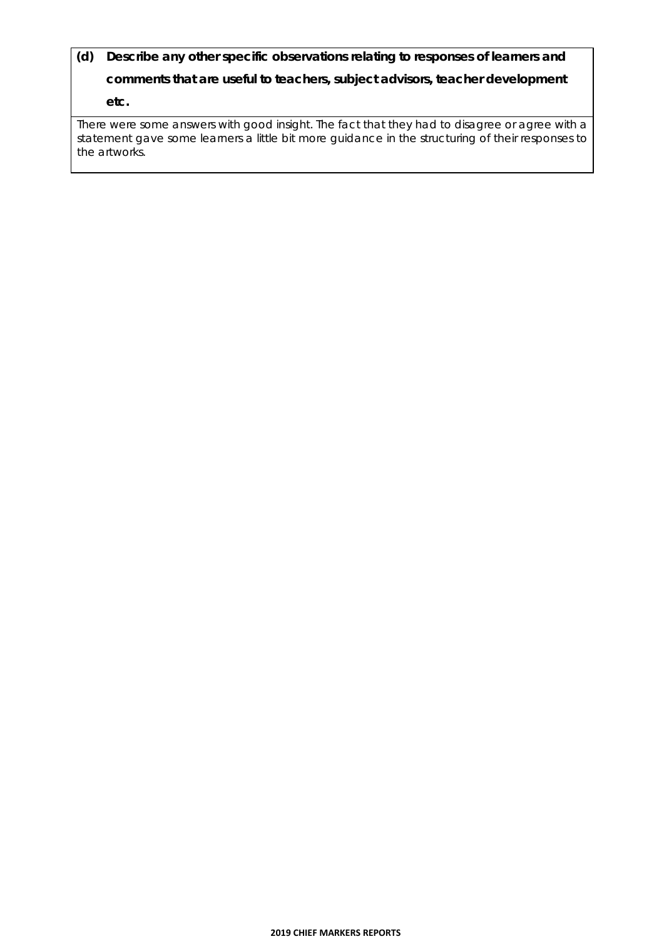**(d) Describe any other specific observations relating to responses of learners and comments that are useful to teachers, subject advisors, teacher development etc.** 

There were some answers with good insight. The fact that they had to disagree or agree with a statement gave some learners a little bit more guidance in the structuring of their responses to the artworks.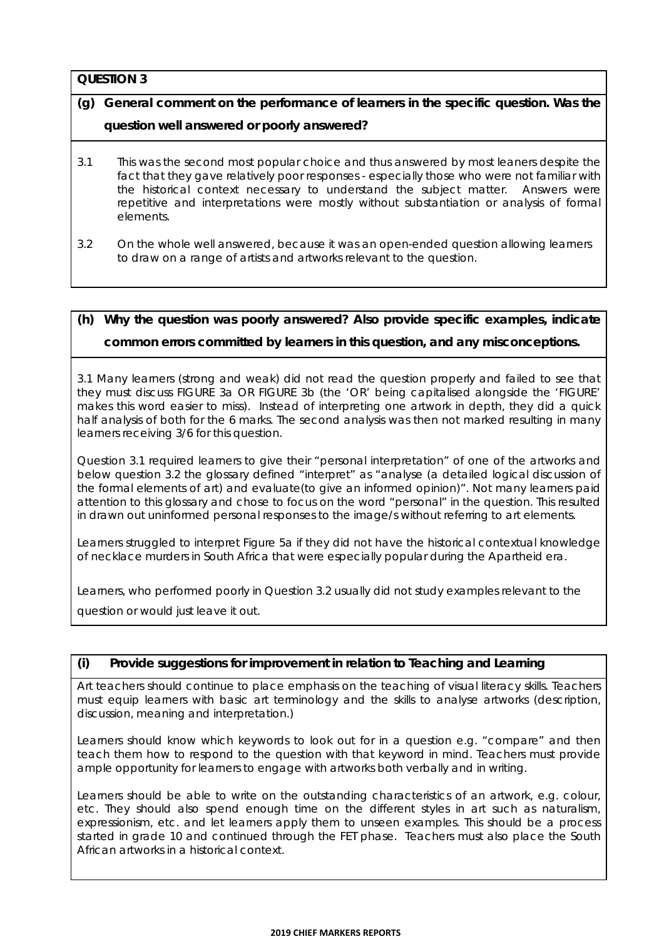## **(g) General comment on the performance of learners in the specific question. Was the question well answered or poorly answered?**

- 3.1 This was the second most popular choice and thus answered by most leaners despite the fact that they gave relatively poor responses - especially those who were not familiar with the historical context necessary to understand the subject matter. Answers were repetitive and interpretations were mostly without substantiation or analysis of formal elements.
- 3.2 On the whole well answered, because it was an open-ended question allowing learners to draw on a range of artists and artworks relevant to the question.

### **(h) Why the question was poorly answered? Also provide specific examples, indicate common errors committed by learners in this question, and any misconceptions.**

3.1 Many learners (strong and weak) did not read the question properly and failed to see that they must discuss FIGURE 3a OR FIGURE 3b (the 'OR' being capitalised alongside the 'FIGURE' makes this word easier to miss). Instead of interpreting one artwork in depth, they did a quick half analysis of both for the 6 marks. The second analysis was then not marked resulting in many learners receiving 3/6 for this question.

Question 3.1 required learners to give their "personal interpretation" of one of the artworks and below question 3.2 the glossary defined "interpret" as "analyse (a detailed logical discussion of the formal elements of art) and evaluate(to give an informed opinion)". Not many learners paid attention to this glossary and chose to focus on the word "personal" in the question. This resulted in drawn out *uninformed* personal responses to the image/s without referring to art elements.

Learners struggled to interpret Figure 5a if they did not have the historical contextual knowledge of necklace murders in South Africa that were especially popular during the Apartheid era.

Learners, who performed poorly in Question 3.2 usually did not study examples relevant to the

question or would just leave it out.

#### **(i) Provide suggestions for improvement in relation to Teaching and Learning**

Art teachers should continue to place emphasis on the teaching of visual literacy skills. Teachers must equip learners with basic art terminology and the skills to analyse artworks (description, discussion, meaning and interpretation.)

Learners should know which keywords to look out for in a question e.g. "compare" and then teach them how to respond to the question with that keyword in mind. Teachers must provide ample opportunity for learners to engage with artworks both verbally and in writing.

Learners should be able to write on the outstanding characteristics of an artwork, e.g. colour, etc. They should also spend enough time on the different styles in art such as naturalism, expressionism, etc. and let learners apply them to unseen examples. This should be a process started in grade 10 and continued through the FET phase. Teachers must also place the South African artworks in a historical context.

#### **2019 CHIEF MARKERS REPORTS**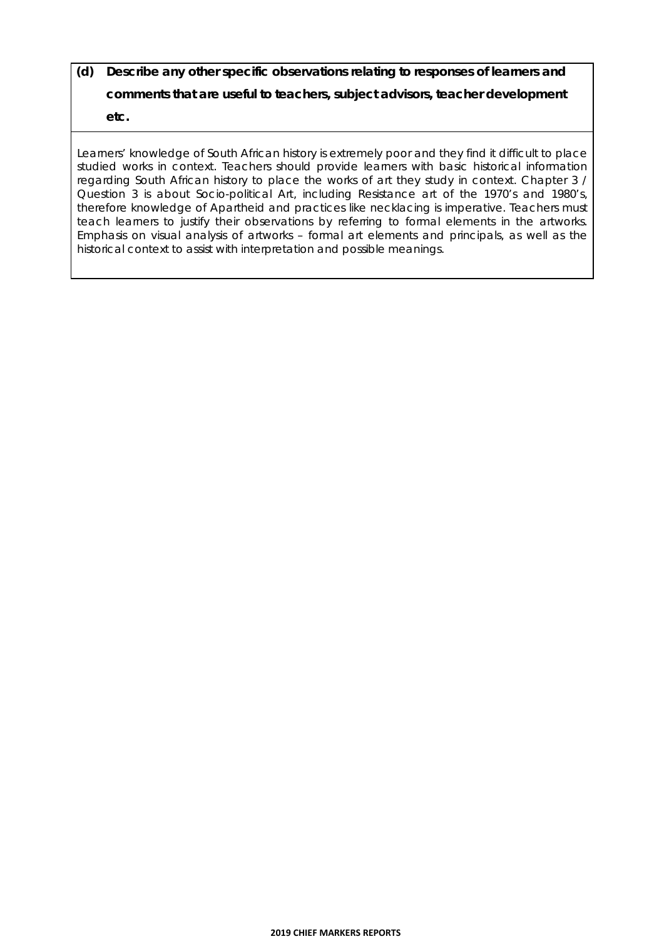## **(d) Describe any other specific observations relating to responses of learners and comments that are useful to teachers, subject advisors, teacher development etc.**

Learners' knowledge of South African history is extremely poor and they find it difficult to place studied works in context. Teachers should provide learners with basic historical information regarding South African history to place the works of art they study in context. Chapter 3 / Question 3 is about Socio-political Art, *including Resistance art of the 1970's and 1980's*, therefore knowledge of Apartheid and practices like necklacing is imperative. Teachers must teach learners to justify their observations by referring to formal elements in the artworks. Emphasis on visual analysis of artworks – formal art elements and principals, as well as the historical context to assist with interpretation and possible meanings.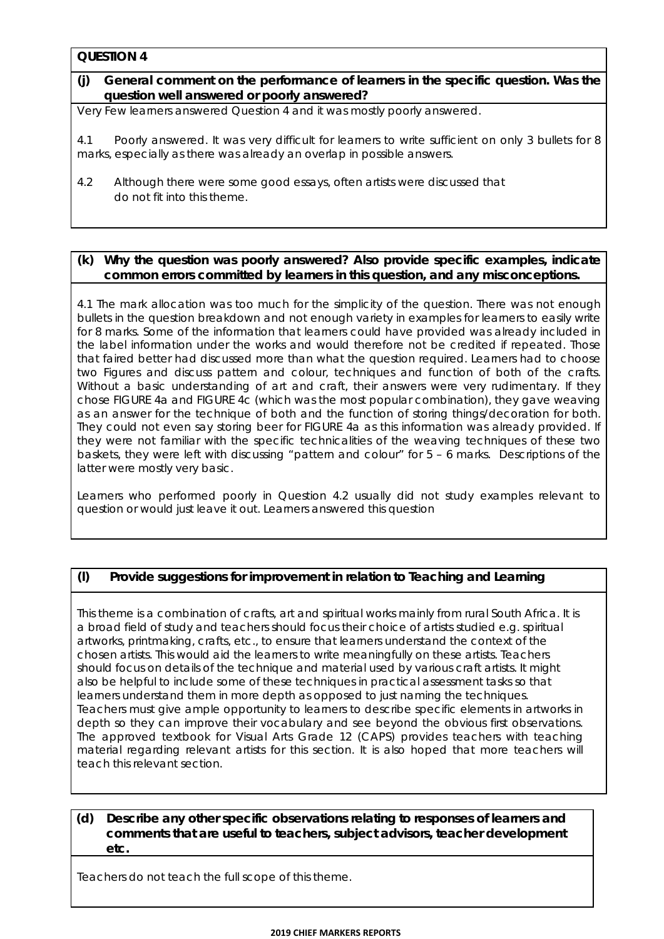#### **(j) General comment on the performance of learners in the specific question. Was the question well answered or poorly answered?**

Very Few learners answered Question 4 and it was mostly poorly answered.

4.1 Poorly answered. It was very difficult for learners to write sufficient on only 3 bullets for 8 marks, especially as there was already an overlap in possible answers.

4.2 Although there were some good essays, often artists were discussed that do not fit into this theme.

#### **(k) Why the question was poorly answered? Also provide specific examples, indicate common errors committed by learners in this question, and any misconceptions.**

4.1 The mark allocation was too much for the simplicity of the question. There was not enough bullets in the question breakdown and not enough variety in examples for learners to easily write for 8 marks. Some of the information that learners could have provided was already included in the label information under the works and would therefore not be credited if repeated. Those that faired better had discussed more than what the question required. Learners had to choose two Figures and discuss pattern and colour, techniques and function of both of the crafts. Without a basic understanding of art and craft, their answers were very rudimentary. If they chose FIGURE 4a and FIGURE 4c (which was the most popular combination), they gave weaving as an answer for the technique of both and the function of storing things/decoration for both. They could not even say storing beer for FIGURE 4a as this information was already provided. If they were not familiar with the specific technicalities of the weaving techniques of these two baskets, they were left with discussing "pattern and colour" for 5 – 6 marks. Descriptions of the latter were mostly very basic.

Learners who performed poorly in Question 4.2 usually did not study examples relevant to question or would just leave it out. Learners answered this question

#### **(l) Provide suggestions for improvement in relation to Teaching and Learning**

This theme is a combination of crafts, art and spiritual works mainly from rural South Africa. It is a broad field of study and teachers should focus their choice of artists studied e.g. spiritual artworks, printmaking, crafts, etc., to ensure that learners understand the context of the chosen artists. This would aid the learners to write meaningfully on these artists. Teachers should focus on details of the technique and material used by various craft artists. It might also be helpful to include some of these techniques in practical assessment tasks so that learners understand them in more depth as opposed to just naming the techniques. Teachers must give ample opportunity to learners to describe specific elements in artworks in depth so they can improve their vocabulary and see beyond the obvious first observations. The approved textbook for Visual Arts Grade 12 (CAPS) provides teachers with teaching material regarding relevant artists for this section. It is also hoped that more teachers will teach this relevant section.

#### **(d) Describe any other specific observations relating to responses of learners and comments that are useful to teachers, subject advisors, teacher development etc.**

Teachers do not teach the full scope of this theme.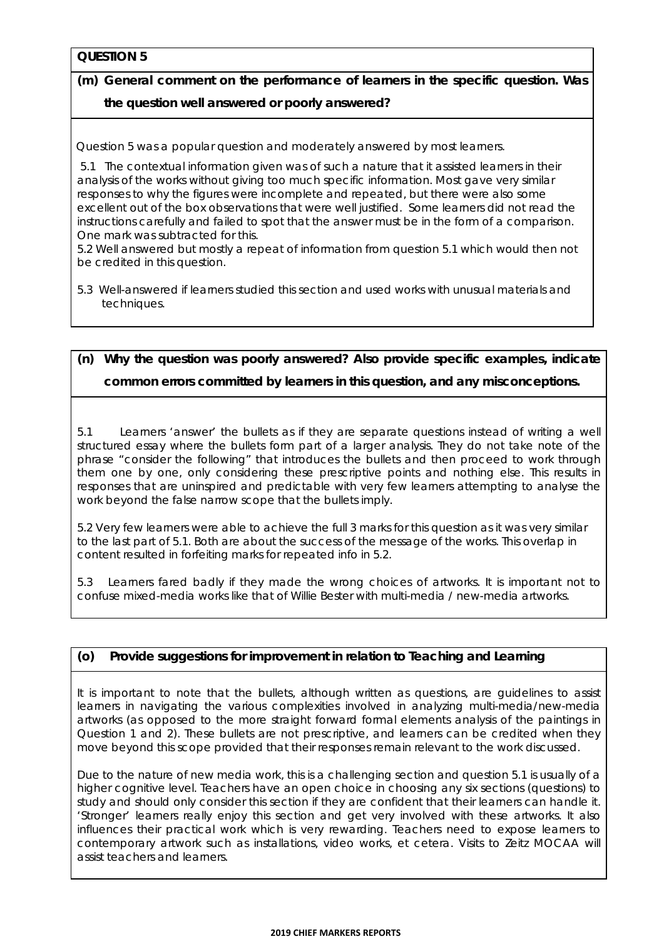## **(m) General comment on the performance of learners in the specific question. Was the question well answered or poorly answered?**

Question 5 was a popular question and moderately answered by most learners.

 5.1 The contextual information given was of such a nature that it assisted learners in their analysis of the works without giving too much specific information. Most gave very similar responses to why the figures were incomplete and repeated, but there were also some excellent out of the box observations that were well justified. Some learners did not read the instructions carefully and failed to spot that the answer must be in the form of a comparison. One mark was subtracted for this.

5.2 Well answered but mostly a repeat of information from question 5.1 which would then not be credited in this question.

5.3 Well-answered if learners studied this section and used works with unusual materials and techniques.

## **(n) Why the question was poorly answered? Also provide specific examples, indicate common errors committed by learners in this question, and any misconceptions.**

5.1 Learners 'answer' the bullets as if they are separate questions instead of writing a well structured essay where the bullets form part of a larger analysis. They do not take note of the phrase "consider the following" that introduces the bullets and then proceed to work through them one by one, only considering these prescriptive points and nothing else. This results in responses that are uninspired and predictable with very few learners attempting to analyse the work beyond the false narrow scope that the bullets imply.

5.2 Very few learners were able to achieve the full 3 marks for this question as it was very similar to the last part of 5.1. Both are about the success of the message of the works. This overlap in content resulted in forfeiting marks for repeated info in 5.2.

5.3 Learners fared badly if they made the wrong choices of artworks. It is important not to confuse mixed-media works like that of Willie Bester with multi-media / new-media artworks.

#### **(o) Provide suggestions for improvement in relation to Teaching and Learning**

It is important to note that the bullets, although written as questions, are guidelines to assist learners in navigating the various complexities involved in analyzing multi-media/new-media artworks (as opposed to the more straight forward formal elements analysis of the paintings in Question 1 and 2). These bullets are not prescriptive, and learners can be credited when they move beyond this scope provided that their responses remain relevant to the work discussed.

Due to the nature of new media work, this is a challenging section and question 5.1 is usually of a higher cognitive level. Teachers have an open choice in choosing any six sections (questions) to study and should only consider this section if they are confident that their learners can handle it. 'Stronger' learners really enjoy this section and get very involved with these artworks. It also influences their practical work which is very rewarding. Teachers need to expose learners to contemporary artwork such as installations, video works, et cetera. Visits to Zeitz MOCAA will assist teachers and learners.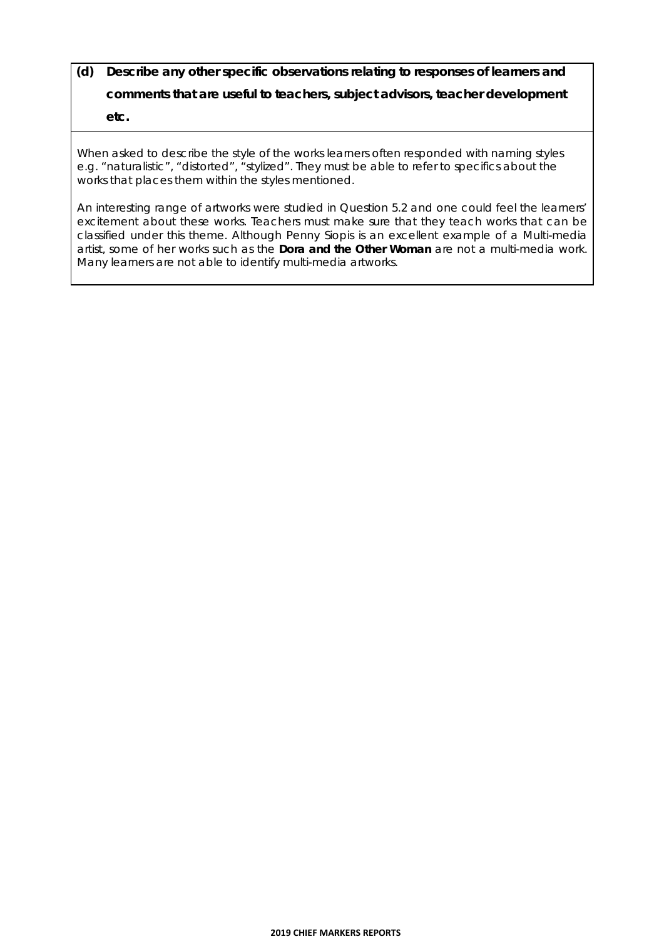## **(d) Describe any other specific observations relating to responses of learners and comments that are useful to teachers, subject advisors, teacher development etc.**

When asked to *describe* the style of the works learners often responded with *naming* styles e.g. "naturalistic", "distorted", "stylized". They must be able to refer to specifics about the works that places them within the styles mentioned.

An interesting range of artworks were studied in Question 5.2 and one could feel the learners' excitement about these works. Teachers must make sure that they teach works that can be classified under this theme. Although Penny Siopis is an excellent example of a Multi-media artist, some of her works such as the *Dora and the Other Woman* are not a multi-media work. Many learners are not able to identify multi-media artworks.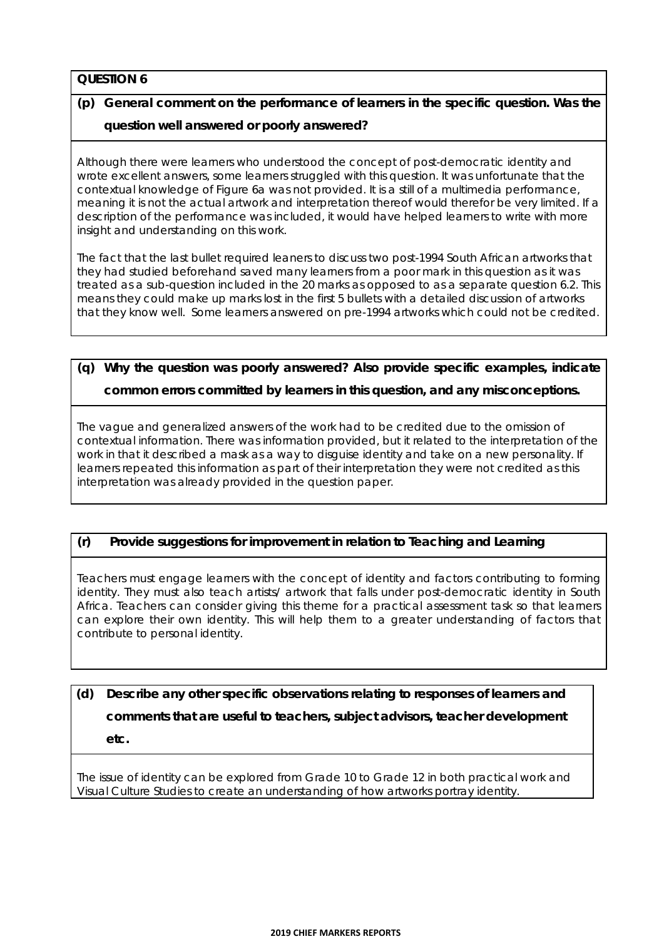## **(p) General comment on the performance of learners in the specific question. Was the question well answered or poorly answered?**

Although there were learners who understood the concept of post-democratic identity and wrote excellent answers, some learners struggled with this question. It was unfortunate that the contextual knowledge of Figure 6a was not provided. It is a still of a multimedia performance, meaning it is not the actual artwork and interpretation thereof would therefor be very limited. If a description of the performance was included, it would have helped learners to write with more insight and understanding on this work.

The fact that the last bullet required leaners to discuss two post-1994 South African artworks that they had studied beforehand saved many learners from a poor mark in this question as it was treated as a sub-question included in the 20 marks as opposed to as a separate question 6.2. This means they could make up marks lost in the first 5 bullets with a detailed discussion of artworks that they know well. Some learners answered on pre-1994 artworks which could not be credited.

### **(q) Why the question was poorly answered? Also provide specific examples, indicate common errors committed by learners in this question, and any misconceptions.**

The vague and generalized answers of the work had to be credited due to the omission of contextual information. There was information provided, but it related to the interpretation of the work in that it described a mask as a way to disguise identity and take on a new personality. If learners repeated this information as part of their interpretation they were not credited as this interpretation was already provided in the question paper.

#### **(r) Provide suggestions for improvement in relation to Teaching and Learning**

Teachers must engage learners with the concept of identity and factors contributing to forming identity. They must also teach artists/ artwork that falls under post-democratic identity in South Africa. Teachers can consider giving this theme for a practical assessment task so that learners can explore their own identity. This will help them to a greater understanding of factors that contribute to personal identity.

## **(d) Describe any other specific observations relating to responses of learners and comments that are useful to teachers, subject advisors, teacher development etc.**

The issue of identity can be explored from Grade 10 to Grade 12 in both practical work and Visual Culture Studies to create an understanding of how artworks portray identity.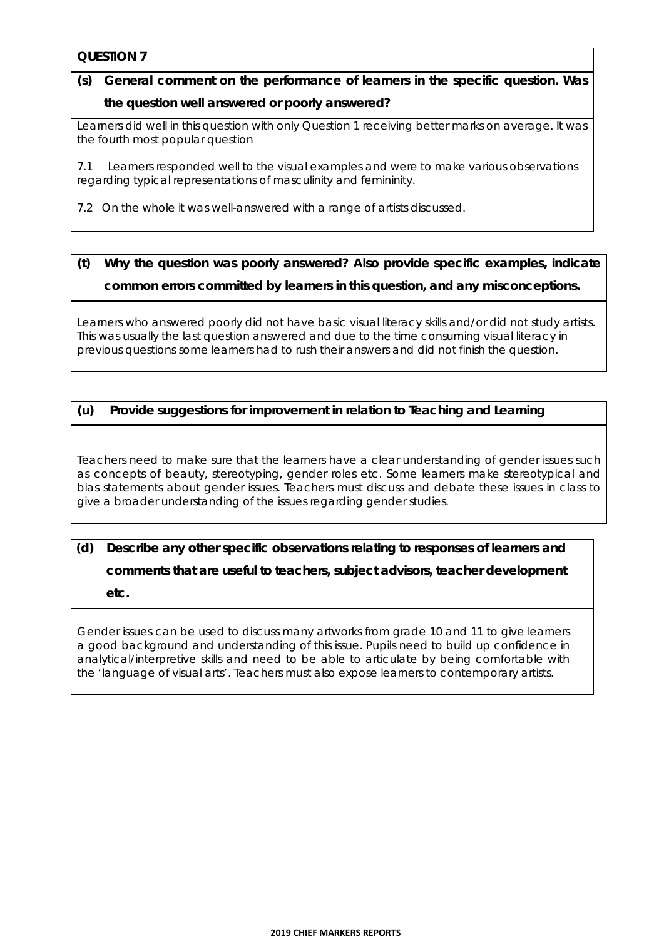# **(s) General comment on the performance of learners in the specific question. Was**

#### **the question well answered or poorly answered?**

Learners did well in this question with only Question 1 receiving better marks on average. It was the fourth most popular question

7.1 Learners responded well to the visual examples and were to make various observations regarding typical representations of masculinity and femininity.

7.2 On the whole it was well-answered with a range of artists discussed.

## **(t) Why the question was poorly answered? Also provide specific examples, indicate common errors committed by learners in this question, and any misconceptions.**

Learners who answered poorly did not have basic visual literacy skills and/or did not study artists. This was usually the last question answered and due to the time consuming visual literacy in previous questions some learners had to rush their answers and did not finish the question.

#### **(u) Provide suggestions for improvement in relation to Teaching and Learning**

Teachers need to make sure that the learners have a clear understanding of gender issues such as concepts of beauty, stereotyping, gender roles etc. Some learners make stereotypical and bias statements about gender issues. Teachers must discuss and debate these issues in class to give a broader understanding of the issues regarding gender studies.

# **(d) Describe any other specific observations relating to responses of learners and comments that are useful to teachers, subject advisors, teacher development etc.**

Gender issues can be used to discuss many artworks from grade 10 and 11 to give learners a good background and understanding of this issue. Pupils need to build up confidence in analytical/interpretive skills and need to be able to articulate by being comfortable with the 'language of visual arts'. Teachers must also expose learners to contemporary artists.